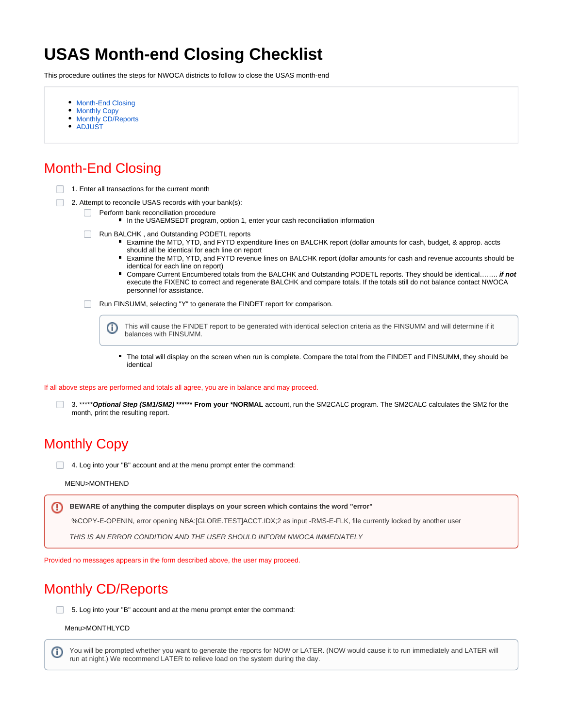# **USAS Month-end Closing Checklist**

This procedure outlines the steps for NWOCA districts to follow to close the USAS month-end

- [Month-End Closing](#page-0-0)
- [Monthly Copy](#page-0-1)
- [Monthly CD/Reports](#page-0-2)
- [ADJUST](#page-1-0)

## <span id="page-0-0"></span>Month-End Closing

- 1. Enter all transactions for the current month
- 2. Attempt to reconcile USAS records with your bank(s):
	- **Perform bank reconciliation procedure** 
		- In the USAEMSEDT program, option 1, enter your cash reconciliation information
	- Run BALCHK, and Outstanding PODETL reports
		- Examine the MTD, YTD, and FYTD expenditure lines on BALCHK report (dollar amounts for cash, budget, & approp. accts should all be identical for each line on report
		- Examine the MTD, YTD, and FYTD revenue lines on BALCHK report (dollar amounts for cash and revenue accounts should be identical for each line on report)
		- Compare Current Encumbered totals from the BALCHK and Outstanding PODETL reports. They should be identical…….. *if not* execute the FIXENC to correct and regenerate BALCHK and compare totals. If the totals still do not balance contact NWOCA personnel for assistance.
	- Run FINSUMM, selecting "Y" to generate the FINDET report for comparison.

G) This will cause the FINDET report to be generated with identical selection criteria as the FINSUMM and will determine if it balances with FINSUMM.

× The total will display on the screen when run is complete. Compare the total from the FINDET and FINSUMM, they should be identical

If all above steps are performed and totals all agree, you are in balance and may proceed.

3. \*\*\*\*\***Optional Step (SM1/SM2) \*\*\*\*\*\* From your \*NORMAL** account, run the SM2CALC program. The SM2CALC calculates the SM2 for the month, print the resulting report.

#### <span id="page-0-1"></span>Monthly Copy

4. Log into your "B" account and at the menu prompt enter the command:

#### MENU>MONTHEND

ത **BEWARE of anything the computer displays on your screen which contains the word "error"**

%COPY-E-OPENIN, error opening NBA:[GLORE.TEST]ACCT.IDX;2 as input -RMS-E-FLK, file currently locked by another user

THIS IS AN ERROR CONDITION AND THE USER SHOULD INFORM NWOCA IMMEDIATELY

Provided no messages appears in the form described above, the user may proceed.

### <span id="page-0-2"></span>Monthly CD/Reports

 $\Box$  5. Log into your "B" account and at the menu prompt enter the command:

Menu>MONTHLYCD

You will be prompted whether you want to generate the reports for NOW or LATER. (NOW would cause it to run immediately and LATER will O) run at night.) We recommend LATER to relieve load on the system during the day.